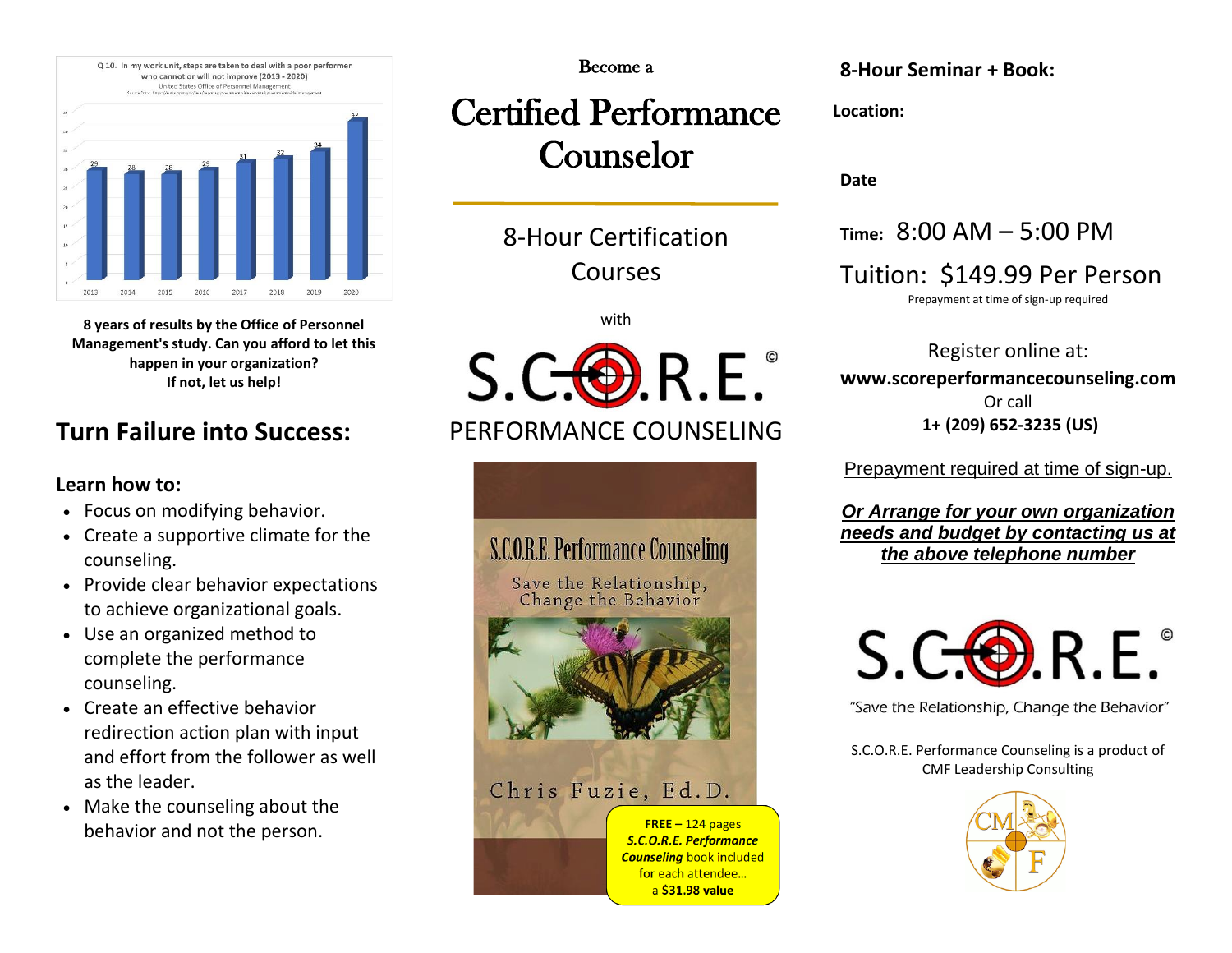

**8 years of results by the Office of Personnel Management's study. Can you afford to let this happen in your organization? If not, let us help!**

## **Turn Failure into Success:**

### **Learn how to:**

- Focus on modifying behavior.
- Create a supportive climate for the counseling.
- Provide clear behavior expectations to achieve organizational goals.
- Use an organized method to complete the performance counseling.
- Create an effective behavior redirection action plan with input and effort from the follower as well as the leader.
- Make the counseling about the behavior and not the person.

#### Become a

# Certified Performance Counselor

8-Hour Certification Courses

l,

with



## PERFORMANCE COUNSELING



**8-Hour Seminar + Book:**

**Location:** 

**Date**

**Time:** 8:00 AM – 5:00 PM

Tuition: \$149.99 Per Person

Prepayment at time of sign-up required

Register online at: **www.scoreperformancecounseling.com** Or call **1+ (209) 652-3235 (US)**

Prepayment required at time of sign-up.

*Or Arrange for your own organization needs and budget by contacting us at the above telephone number*



"Save the Relationship, Change the Behavior"

S.C.O.R.E. Performance Counseling is a product of CMF Leadership Consulting